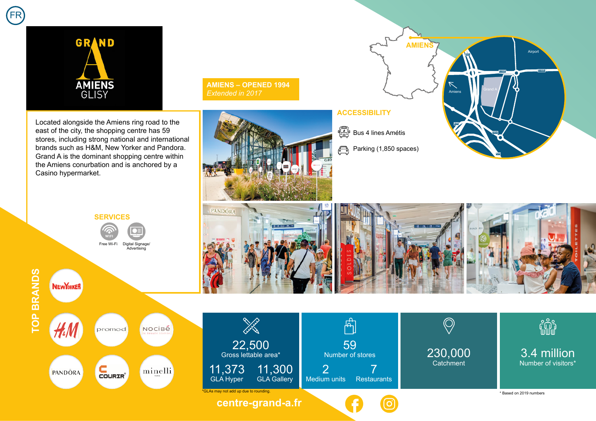



**AMIENS – OPENED 1994**  *Extended in 2017*





**NEWYORKER** 



**AMIENS**

**A29**

Grand A Amiens

**N25**

**D1029 D1029**

Airport

**ACCESSIBILITY**